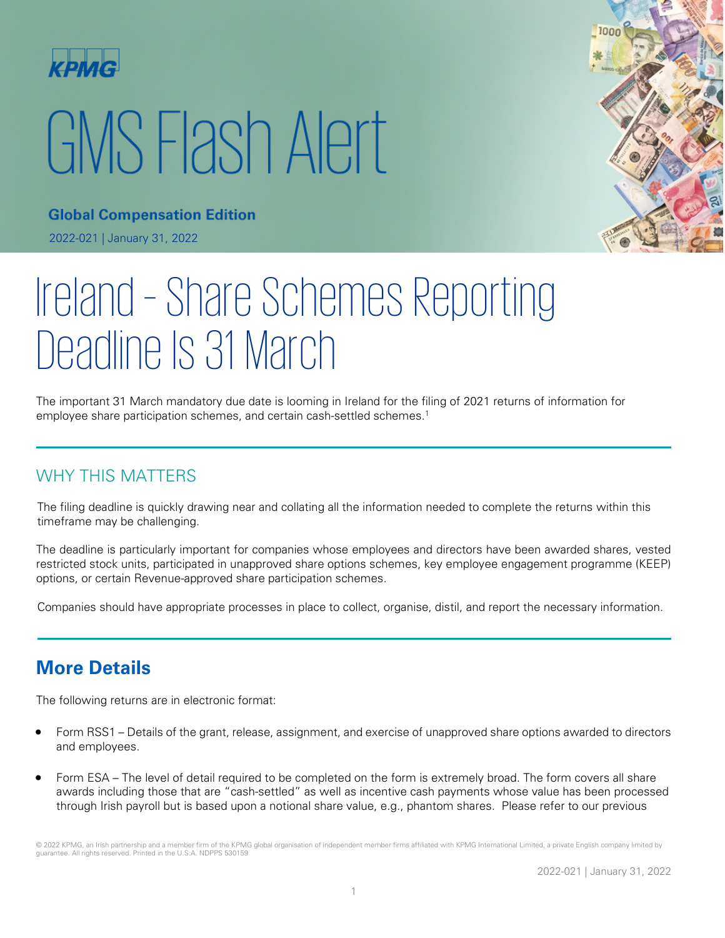

# GMS Flash Alert



**Global Compensation Edition** 2022-021 | January 31, 2022

# Ireland – Share Schemes Reporting Deadline Is 31 March

The important 31 March mandatory due date is looming in Ireland for the filing of 2021 returns of information for employee share participation schemes, and certain cash-settled schemes.<sup>1</sup>

### WHY THIS MATTERS

The filing deadline is quickly drawing near and collating all the information needed to complete the returns within this timeframe may be challenging.

The deadline is particularly important for companies whose employees and directors have been awarded shares, vested restricted stock units, participated in unapproved share options schemes, key employee engagement programme (KEEP) options, or certain Revenue-approved share participation schemes.

Companies should have appropriate processes in place to collect, organise, distil, and report the necessary information.

# **More Details**

The following returns are in electronic format:

- Form RSS1 Details of the grant, release, assignment, and exercise of unapproved share options awarded to directors and employees.
- Form ESA The level of detail required to be completed on the form is extremely broad. The form covers all share awards including those that are "cash-settled" as well as incentive cash payments whose value has been processed through Irish payroll but is based upon a notional share value, e.g., phantom shares. Please refer to our previous

<sup>© 2022</sup> KPMG, an Irish partnership and a member firm of the KPMG global organisation of independent member firms affiliated with KPMG International Limited, a private English company limited by guarantee. All rights reserved. Printed in the U.S.A. NDPPS 530159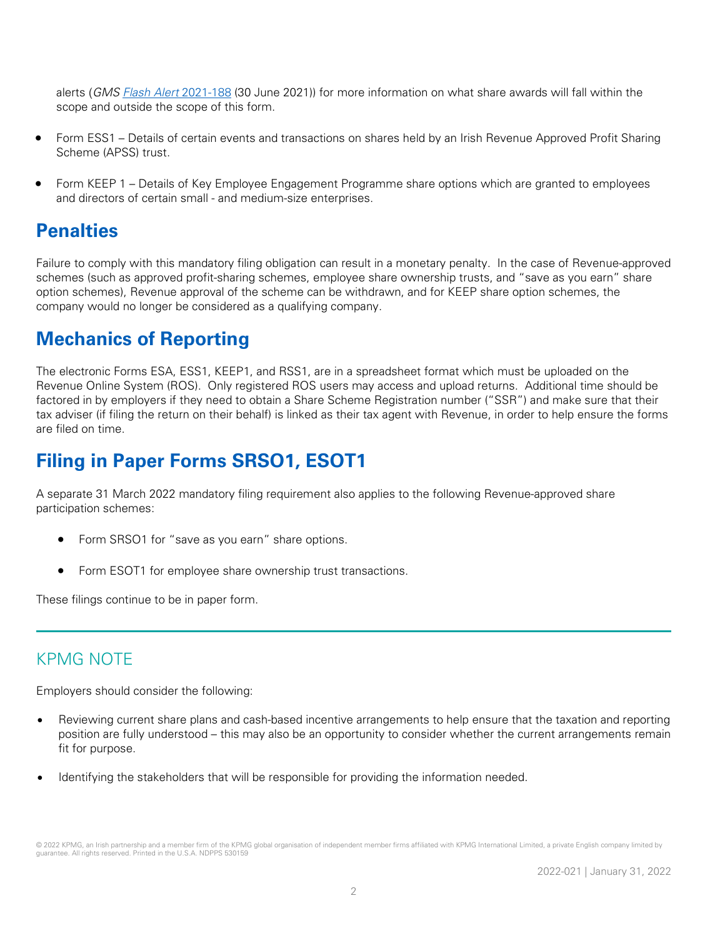alerts (GMS [Flash Alert](https://home.kpmg/xx/en/home/insights/2021/06/flash-alert-2021-188.html) 2021-188 (30 June 2021)) for more information on what share awards will fall within the scope and outside the scope of this form.

- Form ESS1 Details of certain events and transactions on shares held by an Irish Revenue Approved Profit Sharing Scheme (APSS) trust.
- Form KEEP 1 Details of Key Employee Engagement Programme share options which are granted to employees and directors of certain small - and medium-size enterprises.

#### **Penalties**

Failure to comply with this mandatory filing obligation can result in a monetary penalty. In the case of Revenue-approved schemes (such as approved profit-sharing schemes, employee share ownership trusts, and "save as you earn" share option schemes), Revenue approval of the scheme can be withdrawn, and for KEEP share option schemes, the company would no longer be considered as a qualifying company.

# **Mechanics of Reporting**

The electronic Forms ESA, ESS1, KEEP1, and RSS1, are in a spreadsheet format which must be uploaded on the Revenue Online System (ROS). Only registered ROS users may access and upload returns. Additional time should be factored in by employers if they need to obtain a Share Scheme Registration number ("SSR") and make sure that their tax adviser (if filing the return on their behalf) is linked as their tax agent with Revenue, in order to help ensure the forms are filed on time.

# **Filing in Paper Forms SRSO1, ESOT1**

A separate 31 March 2022 mandatory filing requirement also applies to the following Revenue-approved share participation schemes:

- Form SRSO1 for "save as you earn" share options.
- Form ESOT1 for employee share ownership trust transactions.

These filings continue to be in paper form.

#### KPMG NOTE

Employers should consider the following:

- Reviewing current share plans and cash-based incentive arrangements to help ensure that the taxation and reporting position are fully understood – this may also be an opportunity to consider whether the current arrangements remain fit for purpose.
- Identifying the stakeholders that will be responsible for providing the information needed.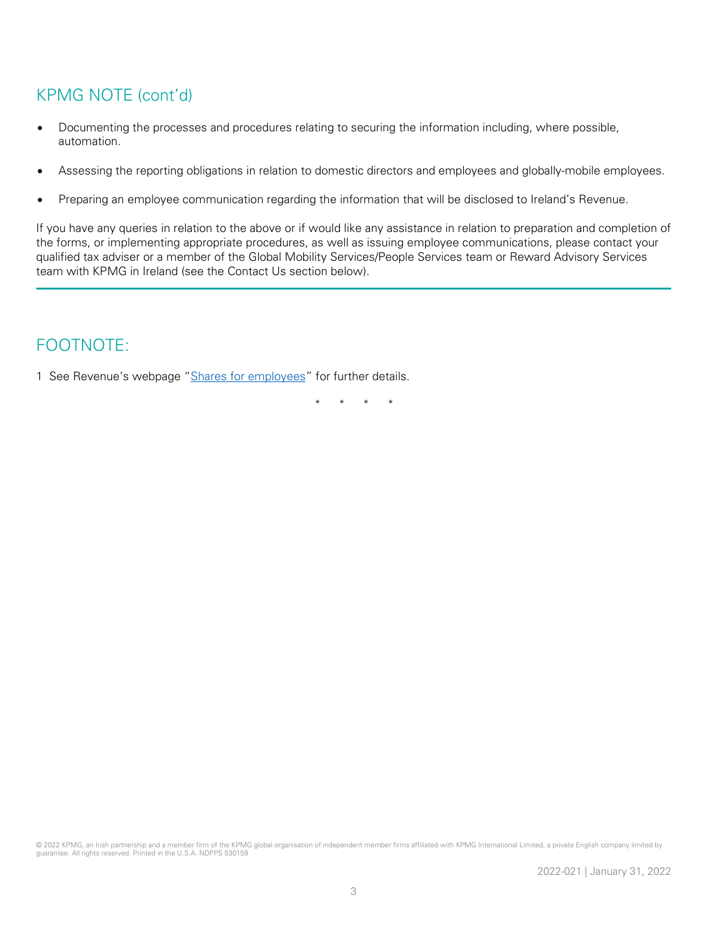#### KPMG NOTE (cont'd)

- Documenting the processes and procedures relating to securing the information including, where possible, automation.
- Assessing the reporting obligations in relation to domestic directors and employees and globally-mobile employees.
- Preparing an employee communication regarding the information that will be disclosed to Ireland's Revenue.

If you have any queries in relation to the above or if would like any assistance in relation to preparation and completion of the forms, or implementing appropriate procedures, as well as issuing employee communications, please contact your qualified tax adviser or a member of the Global Mobility Services/People Services team or Reward Advisory Services team with KPMG in Ireland (see the Contact Us section below).

#### FOOTNOTE:

1 See Revenue's webpage ["Shares for employees"](https://www.revenue.ie/en/employing-people/shares-for-employees/espp-and-cash-settled-share-based-awards.aspx) for further details.

\* \* \* \*

© 2022 KPMG, an Irish partnership and a member firm of the KPMG global organisation of independent member firms affiliated with KPMG International Limited, a private English company limited by guarantee. All rights reserved. Printed in the U.S.A. NDPPS 530159